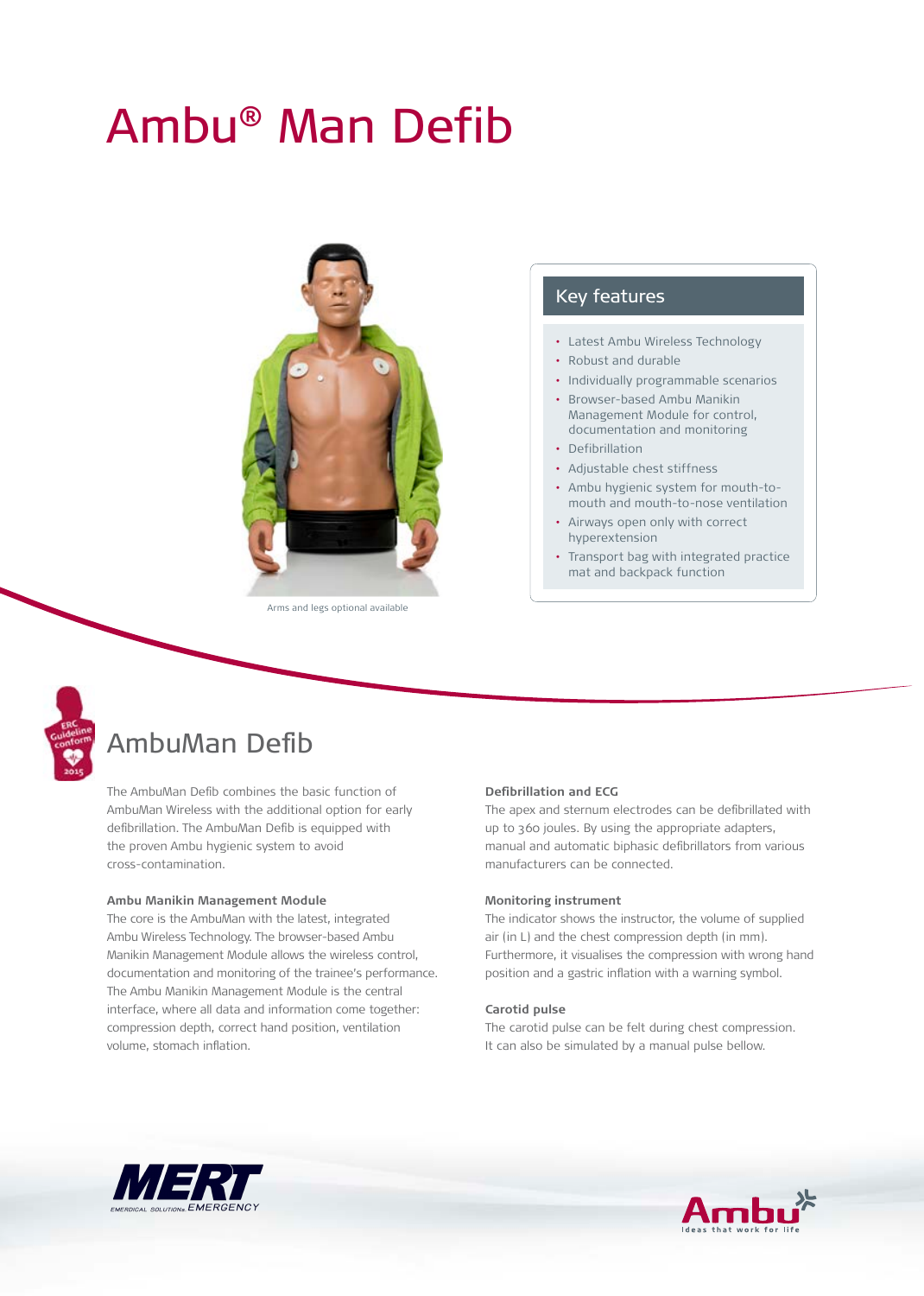# Ambu® Man Defib



Arms and legs optional available

#### Key features

- Latest Ambu Wireless Technology
- Robust and durable
- Individually programmable scenarios
- Browser-based Ambu Manikin
- Management Module for control, documentation and monitoring
- Defibrillation
- Adjustable chest stiffness
- Ambu hygienic system for mouth-tomouth and mouth-to-nose ventilation
- Airways open only with correct hyperextension
- Transport bag with integrated practice mat and backpack function



# AmbuMan Defib

The AmbuMan Defib combines the basic function of AmbuMan Wireless with the additional option for early defibrillation. The AmbuMan Defib is equipped with the proven Ambu hygienic system to avoid cross-contamination.

#### **Ambu Manikin Management Module**

The core is the AmbuMan with the latest, integrated Ambu Wireless Technology. The browser-based Ambu Manikin Management Module allows the wireless control, documentation and monitoring of the trainee's performance. The Ambu Manikin Management Module is the central interface, where all data and information come together: compression depth, correct hand position, ventilation volume, stomach inflation.

#### **Defibrillation and ECG**

The apex and sternum electrodes can be defibrillated with up to 360 joules. By using the appropriate adapters, manual and automatic biphasic defibrillators from various manufacturers can be connected.

#### **Monitoring instrument**

The indicator shows the instructor, the volume of supplied air (in L) and the chest compression depth (in mm). Furthermore, it visualises the compression with wrong hand position and a gastric inflation with a warning symbol.

#### **Carotid pulse**

The carotid pulse can be felt during chest compression. It can also be simulated by a manual pulse bellow.